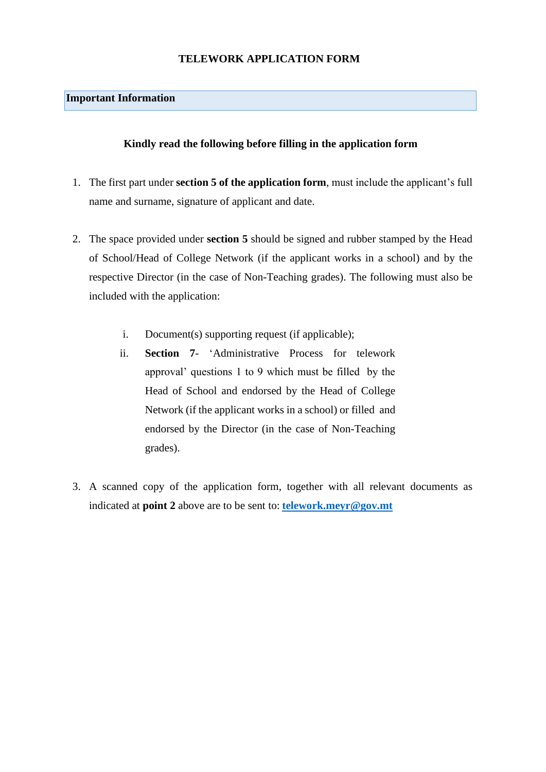#### **TELEWORK APPLICATION FORM**

### **Important Information**

### **Kindly read the following before filling in the application form**

- 1. The first part under **section 5 of the application form**, must include the applicant's full name and surname, signature of applicant and date.
- 2. The space provided under **section 5** should be signed and rubber stamped by the Head of School/Head of College Network (if the applicant works in a school) and by the respective Director (in the case of Non-Teaching grades). The following must also be included with the application:
	- i. Document(s) supporting request (if applicable);
	- ii. **Section 7** 'Administrative Process for telework approval' questions 1 to 9 which must be filled by the Head of School and endorsed by the Head of College Network (if the applicant works in a school) or filled and endorsed by the Director (in the case of Non-Teaching grades).
- 3. A scanned copy of the application form, together with all relevant documents as indicated at **point 2** above are to be sent to: **[telework.meyr@gov.mt](mailto:telework.meyr@gov.mt)**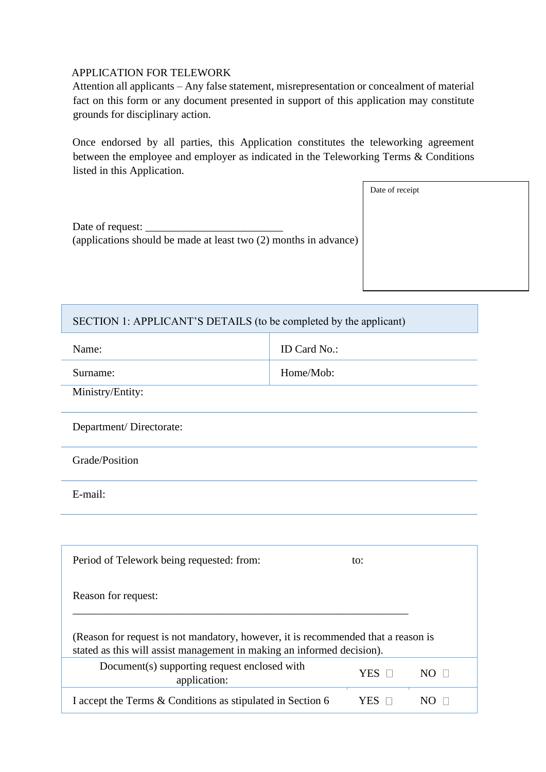#### APPLICATION FOR TELEWORK

Attention all applicants – Any false statement, misrepresentation or concealment of material fact on this form or any document presented in support of this application may constitute grounds for disciplinary action.

Once endorsed by all parties, this Application constitutes the teleworking agreement between the employee and employer as indicated in the Teleworking Terms & Conditions listed in this Application.

|                                                                                      | Date of receipt |
|--------------------------------------------------------------------------------------|-----------------|
|                                                                                      |                 |
| Date of request:<br>(applications should be made at least two (2) months in advance) |                 |
|                                                                                      |                 |

## SECTION 1: APPLICANT'S DETAILS (to be completed by the applicant)

| Name:            | <b>ID</b> Card No.: |
|------------------|---------------------|
| Surname:         | Home/Mob:           |
| Ministry/Entity: |                     |

Department/ Directorate:

Grade/Position

E-mail:

| Period of Telework being requested: from:                                                                                                                   | to: |  |
|-------------------------------------------------------------------------------------------------------------------------------------------------------------|-----|--|
| Reason for request:                                                                                                                                         |     |  |
| (Reason for request is not mandatory, however, it is recommended that a reason is<br>stated as this will assist management in making an informed decision). |     |  |
| Document(s) supporting request enclosed with<br>application:                                                                                                | YES |  |
| I accept the Terms & Conditions as stipulated in Section 6                                                                                                  |     |  |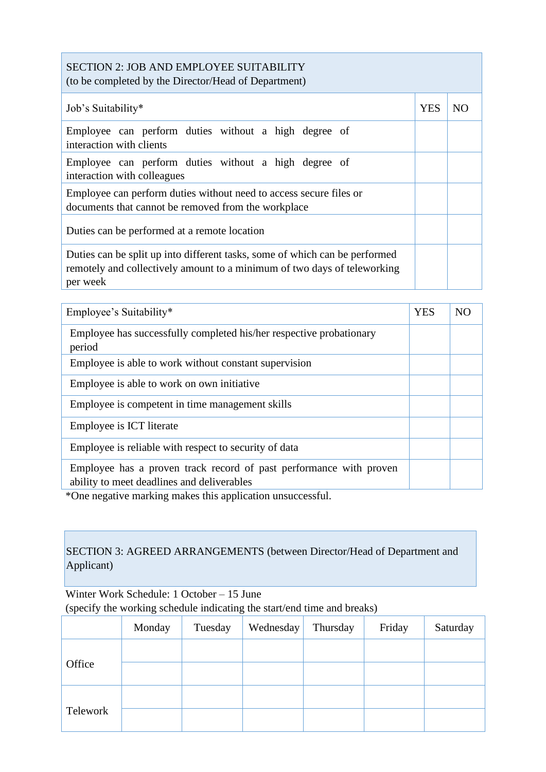### SECTION 2: JOB AND EMPLOYEE SUITABILITY (to be completed by the Director/Head of Department)

| Job's Suitability*                                                                                                                                                  | <b>YES</b> | NO |
|---------------------------------------------------------------------------------------------------------------------------------------------------------------------|------------|----|
| Employee can perform duties without a high degree of<br>interaction with clients                                                                                    |            |    |
| Employee can perform duties without a high degree of<br>interaction with colleagues                                                                                 |            |    |
| Employee can perform duties without need to access secure files or<br>documents that cannot be removed from the workplace                                           |            |    |
| Duties can be performed at a remote location                                                                                                                        |            |    |
| Duties can be split up into different tasks, some of which can be performed<br>remotely and collectively amount to a minimum of two days of teleworking<br>per week |            |    |

| Employee's Suitability*                                                                                          | <b>YES</b> | N <sub>O</sub> |
|------------------------------------------------------------------------------------------------------------------|------------|----------------|
| Employee has successfully completed his/her respective probationary<br>period                                    |            |                |
| Employee is able to work without constant supervision                                                            |            |                |
| Employee is able to work on own initiative.                                                                      |            |                |
| Employee is competent in time management skills                                                                  |            |                |
| Employee is ICT literate                                                                                         |            |                |
| Employee is reliable with respect to security of data                                                            |            |                |
| Employee has a proven track record of past performance with proven<br>ability to meet deadlines and deliverables |            |                |

\*One negative marking makes this application unsuccessful.

# SECTION 3: AGREED ARRANGEMENTS (between Director/Head of Department and Applicant)

Winter Work Schedule: 1 October – 15 June (specify the working schedule indicating the start/end time and breaks)

|          | Monday | Tuesday | Wednesday | Thursday | Friday | Saturday |
|----------|--------|---------|-----------|----------|--------|----------|
|          |        |         |           |          |        |          |
| Office   |        |         |           |          |        |          |
|          |        |         |           |          |        |          |
| Telework |        |         |           |          |        |          |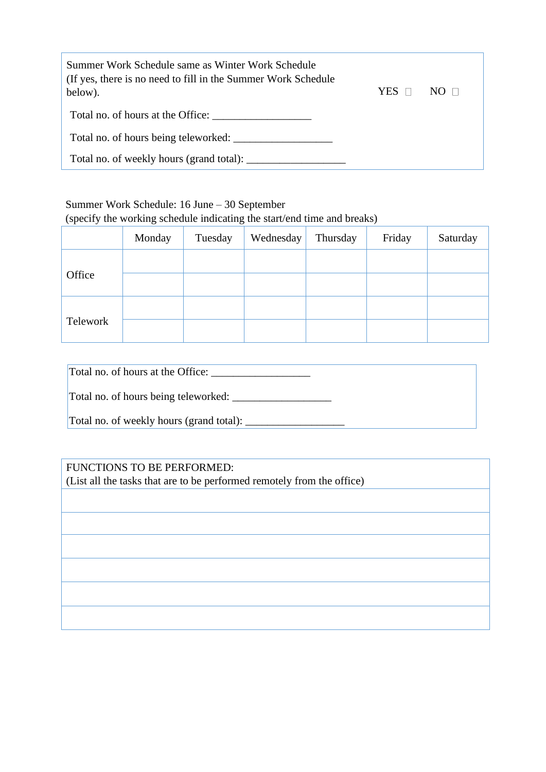| Summer Work Schedule same as Winter Work Schedule<br>(If yes, there is no need to fill in the Summer Work Schedule)<br>below). | YES | $N()$ $\Box$ |
|--------------------------------------------------------------------------------------------------------------------------------|-----|--------------|
| Total no. of hours at the Office:                                                                                              |     |              |
| Total no. of hours being teleworked:                                                                                           |     |              |
|                                                                                                                                |     |              |

# Summer Work Schedule: 16 June – 30 September

(specify the working schedule indicating the start/end time and breaks)

|          | Monday | Tuesday | Wednesday | Thursday | Friday | Saturday |
|----------|--------|---------|-----------|----------|--------|----------|
|          |        |         |           |          |        |          |
| Office   |        |         |           |          |        |          |
|          |        |         |           |          |        |          |
| Telework |        |         |           |          |        |          |

| Total no. of hours at the Office:        |
|------------------------------------------|
| Total no. of hours being teleworked:     |
| Total no. of weekly hours (grand total): |

# FUNCTIONS TO BE PERFORMED:

(List all the tasks that are to be performed remotely from the office)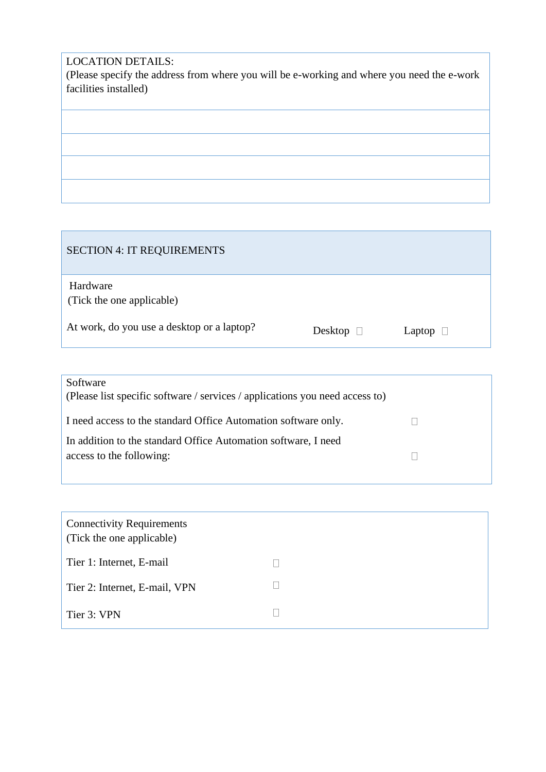# LOCATION DETAILS:

(Please specify the address from where you will be e-working and where you need the e-work facilities installed)

| <b>SECTION 4: IT REQUIREMENTS</b>          |                |               |
|--------------------------------------------|----------------|---------------|
| Hardware<br>(Tick the one applicable)      |                |               |
| At work, do you use a desktop or a laptop? | Desktop $\Box$ | Laptop $\Box$ |

| Software<br>(Please list specific software / services / applications you need access to) |  |
|------------------------------------------------------------------------------------------|--|
| I need access to the standard Office Automation software only.                           |  |
| In addition to the standard Office Automation software, I need                           |  |
| access to the following:                                                                 |  |
|                                                                                          |  |

| <b>Connectivity Requirements</b><br>(Tick the one applicable) |  |
|---------------------------------------------------------------|--|
| Tier 1: Internet, E-mail                                      |  |
| Tier 2: Internet, E-mail, VPN                                 |  |
| Tier 3: VPN                                                   |  |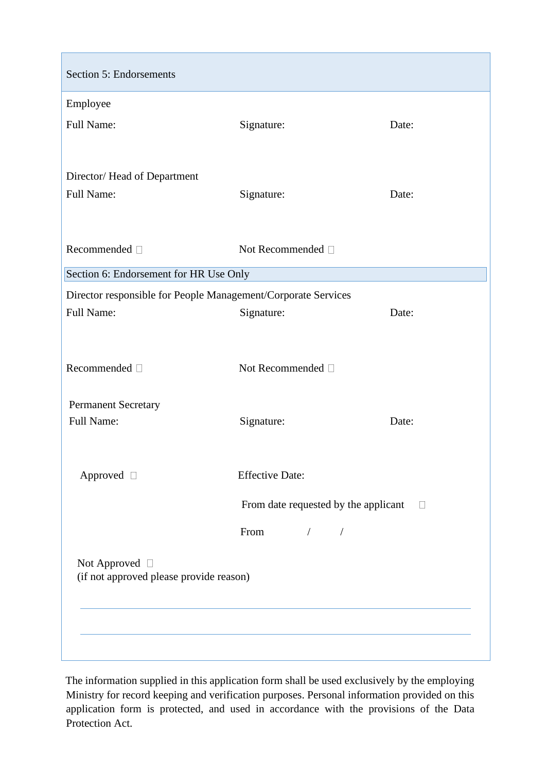| Section 5: Endorsements                                       |                                      |        |  |
|---------------------------------------------------------------|--------------------------------------|--------|--|
| Employee                                                      |                                      |        |  |
| Full Name:                                                    | Signature:                           | Date:  |  |
|                                                               |                                      |        |  |
| Director/Head of Department                                   |                                      |        |  |
| Full Name:                                                    | Signature:                           | Date:  |  |
|                                                               |                                      |        |  |
| Recommended <sup>[]</sup>                                     | Not Recommended $\Box$               |        |  |
| Section 6: Endorsement for HR Use Only                        |                                      |        |  |
| Director responsible for People Management/Corporate Services |                                      |        |  |
| Full Name:                                                    | Signature:                           | Date:  |  |
|                                                               |                                      |        |  |
| Recommended $\square$                                         | Not Recommended $\square$            |        |  |
|                                                               |                                      |        |  |
| <b>Permanent Secretary</b><br>Full Name:                      | Signature:                           | Date:  |  |
|                                                               |                                      |        |  |
|                                                               |                                      |        |  |
| Approved □                                                    | <b>Effective Date:</b>               |        |  |
|                                                               | From date requested by the applicant | $\Box$ |  |
|                                                               | From<br>$\sqrt{2}$                   |        |  |
| Not Approved $\Box$                                           |                                      |        |  |
| (if not approved please provide reason)                       |                                      |        |  |
|                                                               |                                      |        |  |
|                                                               |                                      |        |  |
|                                                               |                                      |        |  |

The information supplied in this application form shall be used exclusively by the employing Ministry for record keeping and verification purposes. Personal information provided on this application form is protected, and used in accordance with the provisions of the Data Protection Act.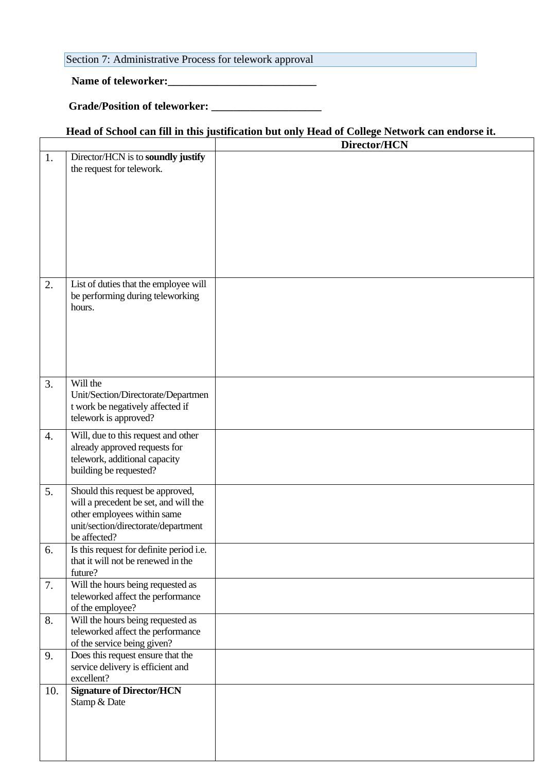## Section 7: Administrative Process for telework approval

# **Name of teleworker:\_\_\_\_\_\_\_\_\_\_\_\_\_\_\_\_\_\_\_\_\_\_\_\_\_\_\_**

# **Grade/Position of teleworker: \_\_\_\_\_\_\_\_\_\_\_\_\_\_\_\_\_\_\_\_**

### **Head of School can fill in this justification but only Head of College Network can endorse it.**

|     |                                                          | Director/HCN |  |
|-----|----------------------------------------------------------|--------------|--|
| 1.  | Director/HCN is to soundly justify                       |              |  |
|     | the request for telework.                                |              |  |
|     |                                                          |              |  |
|     |                                                          |              |  |
|     |                                                          |              |  |
|     |                                                          |              |  |
|     |                                                          |              |  |
|     |                                                          |              |  |
|     |                                                          |              |  |
|     |                                                          |              |  |
|     |                                                          |              |  |
| 2.  | List of duties that the employee will                    |              |  |
|     | be performing during teleworking<br>hours.               |              |  |
|     |                                                          |              |  |
|     |                                                          |              |  |
|     |                                                          |              |  |
|     |                                                          |              |  |
|     |                                                          |              |  |
|     |                                                          |              |  |
| 3.  | Will the                                                 |              |  |
|     | Unit/Section/Directorate/Departmen                       |              |  |
|     | t work be negatively affected if                         |              |  |
|     | telework is approved?                                    |              |  |
| 4.  | Will, due to this request and other                      |              |  |
|     | already approved requests for                            |              |  |
|     | telework, additional capacity                            |              |  |
|     | building be requested?                                   |              |  |
|     |                                                          |              |  |
| 5.  | Should this request be approved,                         |              |  |
|     | will a precedent be set, and will the                    |              |  |
|     | other employees within same                              |              |  |
|     | unit/section/directorate/department                      |              |  |
|     | be affected?<br>Is this request for definite period i.e. |              |  |
| 6.  | that it will not be renewed in the                       |              |  |
|     | future?                                                  |              |  |
| 7.  | Will the hours being requested as                        |              |  |
|     | teleworked affect the performance                        |              |  |
|     | of the employee?                                         |              |  |
| 8.  | Will the hours being requested as                        |              |  |
|     | teleworked affect the performance                        |              |  |
|     | of the service being given?                              |              |  |
| 9.  | Does this request ensure that the                        |              |  |
|     | service delivery is efficient and                        |              |  |
|     | excellent?                                               |              |  |
| 10. | <b>Signature of Director/HCN</b>                         |              |  |
|     | Stamp & Date                                             |              |  |
|     |                                                          |              |  |
|     |                                                          |              |  |
|     |                                                          |              |  |
|     |                                                          |              |  |
|     |                                                          |              |  |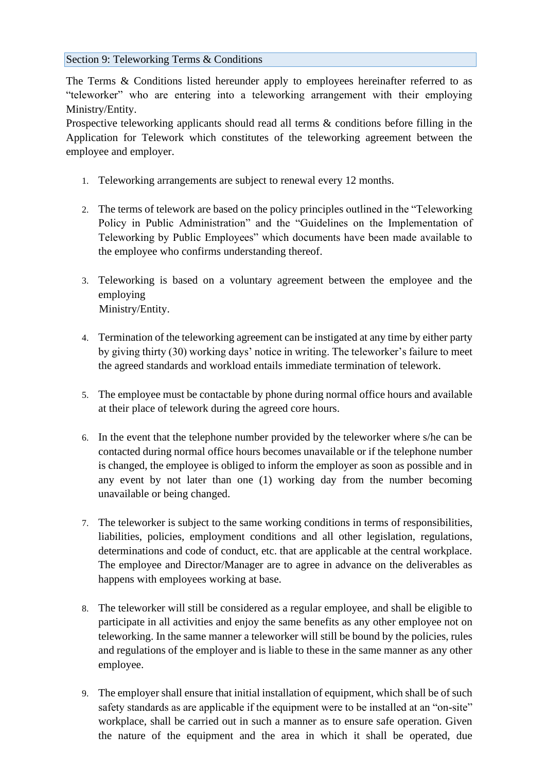### Section 9: Teleworking Terms & Conditions

The Terms & Conditions listed hereunder apply to employees hereinafter referred to as "teleworker" who are entering into a teleworking arrangement with their employing Ministry/Entity.

Prospective teleworking applicants should read all terms & conditions before filling in the Application for Telework which constitutes of the teleworking agreement between the employee and employer.

- 1. Teleworking arrangements are subject to renewal every 12 months.
- 2. The terms of telework are based on the policy principles outlined in the "Teleworking Policy in Public Administration" and the "Guidelines on the Implementation of Teleworking by Public Employees" which documents have been made available to the employee who confirms understanding thereof.
- 3. Teleworking is based on a voluntary agreement between the employee and the employing Ministry/Entity.
- 4. Termination of the teleworking agreement can be instigated at any time by either party by giving thirty (30) working days' notice in writing. The teleworker's failure to meet the agreed standards and workload entails immediate termination of telework.
- 5. The employee must be contactable by phone during normal office hours and available at their place of telework during the agreed core hours.
- 6. In the event that the telephone number provided by the teleworker where s/he can be contacted during normal office hours becomes unavailable or if the telephone number is changed, the employee is obliged to inform the employer as soon as possible and in any event by not later than one (1) working day from the number becoming unavailable or being changed.
- 7. The teleworker is subject to the same working conditions in terms of responsibilities, liabilities, policies, employment conditions and all other legislation, regulations, determinations and code of conduct, etc. that are applicable at the central workplace. The employee and Director/Manager are to agree in advance on the deliverables as happens with employees working at base.
- 8. The teleworker will still be considered as a regular employee, and shall be eligible to participate in all activities and enjoy the same benefits as any other employee not on teleworking. In the same manner a teleworker will still be bound by the policies, rules and regulations of the employer and is liable to these in the same manner as any other employee.
- 9. The employer shall ensure that initial installation of equipment, which shall be of such safety standards as are applicable if the equipment were to be installed at an "on-site" workplace, shall be carried out in such a manner as to ensure safe operation. Given the nature of the equipment and the area in which it shall be operated, due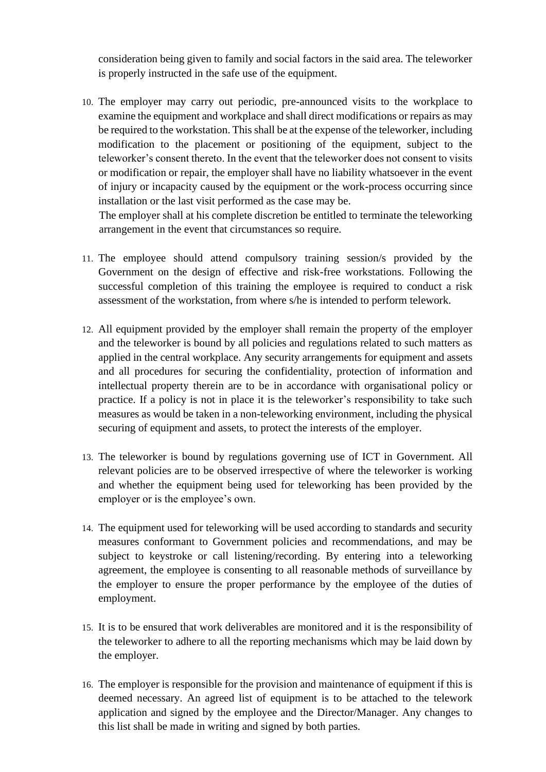consideration being given to family and social factors in the said area. The teleworker is properly instructed in the safe use of the equipment.

10. The employer may carry out periodic, pre-announced visits to the workplace to examine the equipment and workplace and shall direct modifications or repairs as may be required to the workstation. This shall be at the expense of the teleworker, including modification to the placement or positioning of the equipment, subject to the teleworker's consent thereto. In the event that the teleworker does not consent to visits or modification or repair, the employer shall have no liability whatsoever in the event of injury or incapacity caused by the equipment or the work-process occurring since installation or the last visit performed as the case may be.

The employer shall at his complete discretion be entitled to terminate the teleworking arrangement in the event that circumstances so require.

- 11. The employee should attend compulsory training session/s provided by the Government on the design of effective and risk-free workstations. Following the successful completion of this training the employee is required to conduct a risk assessment of the workstation, from where s/he is intended to perform telework.
- 12. All equipment provided by the employer shall remain the property of the employer and the teleworker is bound by all policies and regulations related to such matters as applied in the central workplace. Any security arrangements for equipment and assets and all procedures for securing the confidentiality, protection of information and intellectual property therein are to be in accordance with organisational policy or practice. If a policy is not in place it is the teleworker's responsibility to take such measures as would be taken in a non-teleworking environment, including the physical securing of equipment and assets, to protect the interests of the employer.
- 13. The teleworker is bound by regulations governing use of ICT in Government. All relevant policies are to be observed irrespective of where the teleworker is working and whether the equipment being used for teleworking has been provided by the employer or is the employee's own.
- 14. The equipment used for teleworking will be used according to standards and security measures conformant to Government policies and recommendations, and may be subject to keystroke or call listening/recording. By entering into a teleworking agreement, the employee is consenting to all reasonable methods of surveillance by the employer to ensure the proper performance by the employee of the duties of employment.
- 15. It is to be ensured that work deliverables are monitored and it is the responsibility of the teleworker to adhere to all the reporting mechanisms which may be laid down by the employer.
- 16. The employer is responsible for the provision and maintenance of equipment if this is deemed necessary. An agreed list of equipment is to be attached to the telework application and signed by the employee and the Director/Manager. Any changes to this list shall be made in writing and signed by both parties.